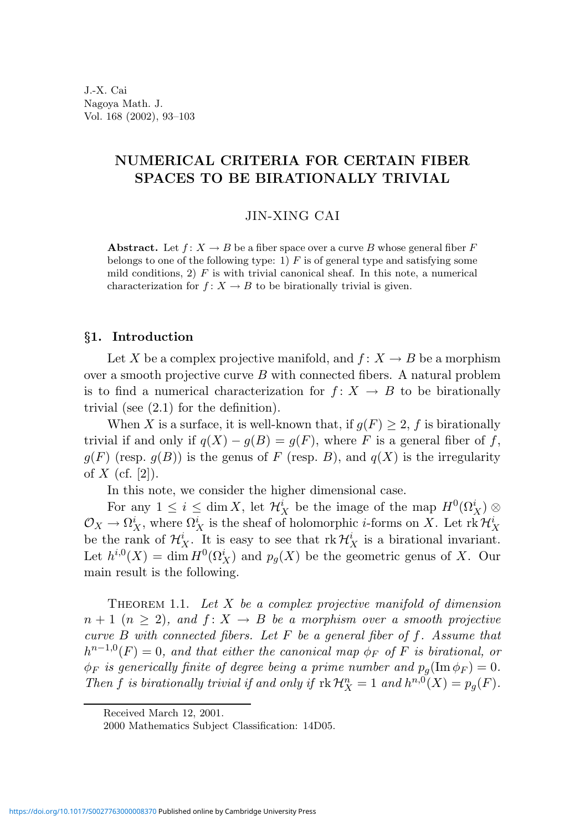# NUMERICAL CRITERIA FOR CERTAIN FIBER SPACES TO BE BIRATIONALLY TRIVIAL

# JIN-XING CAI

**Abstract.** Let  $f: X \to B$  be a fiber space over a curve B whose general fiber F belongs to one of the following type: 1)  $F$  is of general type and satisfying some mild conditions, 2)  $F$  is with trivial canonical sheaf. In this note, a numerical characterization for  $f: X \to B$  to be birationally trivial is given.

## §1. Introduction

Let X be a complex projective manifold, and  $f: X \to B$  be a morphism over a smooth projective curve  $B$  with connected fibers. A natural problem is to find a numerical characterization for  $f: X \rightarrow B$  to be birationally trivial (see (2.1) for the definition).

When X is a surface, it is well-known that, if  $g(F) \geq 2$ , f is birationally trivial if and only if  $q(X) - q(B) = q(F)$ , where F is a general fiber of f,  $g(F)$  (resp.  $g(B)$ ) is the genus of F (resp. B), and  $g(X)$  is the irregularity of  $X$  (cf. [2]).

In this note, we consider the higher dimensional case.

For any  $1 \leq i \leq \dim X$ , let  $\mathcal{H}_X^i$  be the image of the map  $H^0(\Omega_X^i) \otimes$  $\mathcal{O}_X \to \Omega^i_X$ , where  $\Omega^i_X$  is the sheaf of holomorphic *i*-forms on X. Let  $\mathrm{rk}\,\mathcal{H}^i_X$ be the rank of  $\mathcal{H}_X^i$ . It is easy to see that  $rk\mathcal{H}_X^i$  is a birational invariant. Let  $h^{i,0}(X) = \dim H^0(\Omega^i_X)$  and  $p_g(X)$  be the geometric genus of X. Our main result is the following.

THEOREM 1.1. Let  $X$  be a complex projective manifold of dimension  $n+1$   $(n \geq 2)$ , and  $f: X \to B$  be a morphism over a smooth projective curve  $B$  with connected fibers. Let  $F$  be a general fiber of f. Assume that  $h^{n-1,0}(F) = 0$ , and that either the canonical map  $\phi_F$  of F is birational, or  $\phi_F$  is generically finite of degree being a prime number and  $p_q(\text{Im }\phi_F) = 0$ . Then f is birationally trivial if and only if  $\mathrm{rk}\,\mathcal{H}_X^n = 1$  and  $h^{n,0}(X) = p_g(F)$ .

Received March 12, 2001.

<sup>2000</sup> Mathematics Subject Classification: 14D05.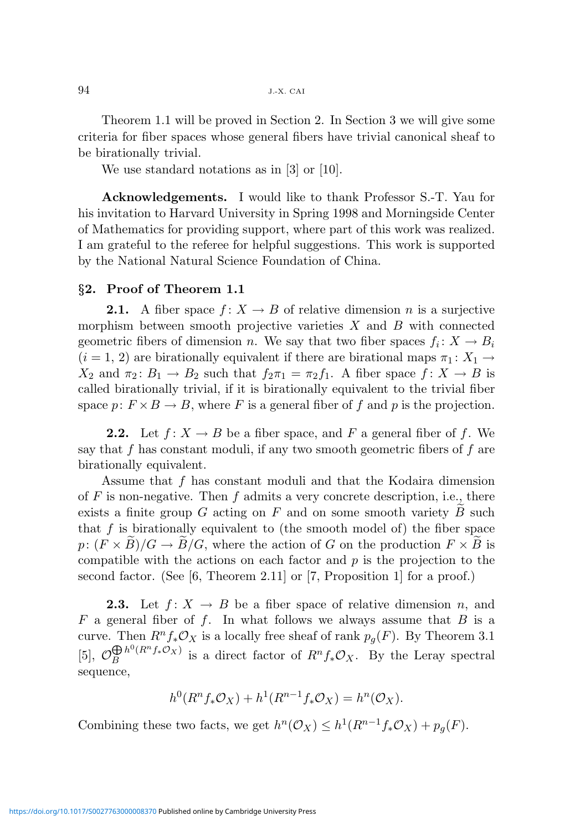Theorem 1.1 will be proved in Section 2. In Section 3 we will give some criteria for fiber spaces whose general fibers have trivial canonical sheaf to be birationally trivial.

We use standard notations as in [3] or [10].

Acknowledgements. I would like to thank Professor S.-T. Yau for his invitation to Harvard University in Spring 1998 and Morningside Center of Mathematics for providing support, where part of this work was realized. I am grateful to the referee for helpful suggestions. This work is supported by the National Natural Science Foundation of China.

## §2. Proof of Theorem 1.1

**2.1.** A fiber space  $f: X \to B$  of relative dimension n is a surjective morphism between smooth projective varieties  $X$  and  $B$  with connected geometric fibers of dimension *n*. We say that two fiber spaces  $f_i: X \to B_i$  $(i = 1, 2)$  are birationally equivalent if there are birational maps  $\pi_1: X_1 \rightarrow$  $X_2$  and  $\pi_2: B_1 \to B_2$  such that  $f_2\pi_1 = \pi_2 f_1$ . A fiber space  $f: X \to B$  is called birationally trivial, if it is birationally equivalent to the trivial fiber space  $p: F \times B \to B$ , where F is a general fiber of f and p is the projection.

**2.2.** Let  $f: X \to B$  be a fiber space, and F a general fiber of f. We say that f has constant moduli, if any two smooth geometric fibers of f are birationally equivalent.

Assume that f has constant moduli and that the Kodaira dimension of  $F$  is non-negative. Then  $f$  admits a very concrete description, i.e., there exists a finite group  $G$  acting on  $F$  and on some smooth variety  $B$  such that  $f$  is birationally equivalent to (the smooth model of) the fiber space  $p: (F \times B)/G \to B/G$ , where the action of G on the production  $F \times B$  is compatible with the actions on each factor and  $p$  is the projection to the second factor. (See  $[6,$  Theorem 2.11] or  $[7,$  Proposition 1] for a proof.)

**2.3.** Let  $f: X \to B$  be a fiber space of relative dimension n, and  $F$  a general fiber of  $f$ . In what follows we always assume that  $B$  is a curve. Then  $R^n f_* \mathcal{O}_X$  is a locally free sheaf of rank  $p_q(F)$ . By Theorem 3.1 [5],  $\mathcal{O}_B^{\bigoplus h^0(R^nf_*\mathcal{O}_X)}$  is a  $B^{h^0(R^n f_*\mathcal{O}_X)}$  is a direct factor of  $R^n f_* \mathcal{O}_X$ . By the Leray spectral sequence,

$$
h^0(R^n f_* \mathcal{O}_X) + h^1(R^{n-1} f_* \mathcal{O}_X) = h^n(\mathcal{O}_X).
$$

Combining these two facts, we get  $h^n(\mathcal{O}_X) \leq h^1(R^{n-1}f_*\mathcal{O}_X) + p_g(F)$ .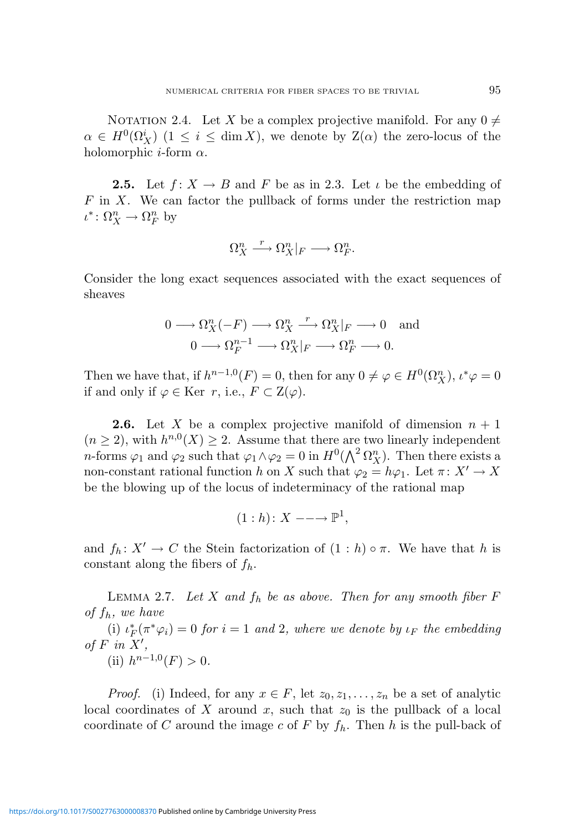NOTATION 2.4. Let X be a complex projective manifold. For any  $0 \neq$  $\alpha \in H^0(\Omega^i_X)$  (1  $\leq i \leq \dim X$ ), we denote by  $\mathcal{Z}(\alpha)$  the zero-locus of the holomorphic *i*-form  $\alpha$ .

**2.5.** Let  $f: X \to B$  and F be as in 2.3. Let  $\iota$  be the embedding of  $F$  in X. We can factor the pullback of forms under the restriction map  $\iota^* \colon \Omega^n_X \to \Omega^n_F$  by

$$
\Omega_X^n \xrightarrow{r} \Omega_X^n|_F \longrightarrow \Omega_F^n.
$$

Consider the long exact sequences associated with the exact sequences of sheaves

$$
0 \longrightarrow \Omega_X^n(-F) \longrightarrow \Omega_X^n \xrightarrow{r} \Omega_X^n|_F \longrightarrow 0 \text{ and}
$$
  

$$
0 \longrightarrow \Omega_F^{n-1} \longrightarrow \Omega_X^n|_F \longrightarrow \Omega_F^n \longrightarrow 0.
$$

Then we have that, if  $h^{n-1,0}(F) = 0$ , then for any  $0 \neq \varphi \in H^0(\Omega_X^n)$ ,  $\iota^* \varphi = 0$ if and only if  $\varphi \in \text{Ker } r$ , i.e.,  $F \subset Z(\varphi)$ .

**2.6.** Let X be a complex projective manifold of dimension  $n + 1$  $(n \geq 2)$ , with  $h^{n,0}(X) \geq 2$ . Assume that there are two linearly independent *n*-forms  $\varphi_1$  and  $\varphi_2$  such that  $\varphi_1 \wedge \varphi_2 = 0$  in  $H^0(\bigwedge^2 \Omega_X^n)$ . Then there exists a non-constant rational function h on X such that  $\varphi_2 = h\varphi_1$ . Let  $\pi \colon X' \to X$ be the blowing up of the locus of indeterminacy of the rational map

$$
(1 : h) : X \longrightarrow \mathbb{P}^1,
$$

and  $f_h: X' \to C$  the Stein factorization of  $(1 : h) \circ \pi$ . We have that h is constant along the fibers of  $f_h$ .

LEMMA 2.7. Let X and  $f_h$  be as above. Then for any smooth fiber F of  $f_h$ , we have

(i)  $\iota_F^*(\pi^*\varphi_i) = 0$  for  $i = 1$  and 2, where we denote by  $\iota_F$  the embedding of  $F$  in  $X'$ , (ii)  $h^{n-1,0}(F) > 0$ .

*Proof.* (i) Indeed, for any  $x \in F$ , let  $z_0, z_1, \ldots, z_n$  be a set of analytic local coordinates of X around x, such that  $z_0$  is the pullback of a local coordinate of C around the image c of F by  $f_h$ . Then h is the pull-back of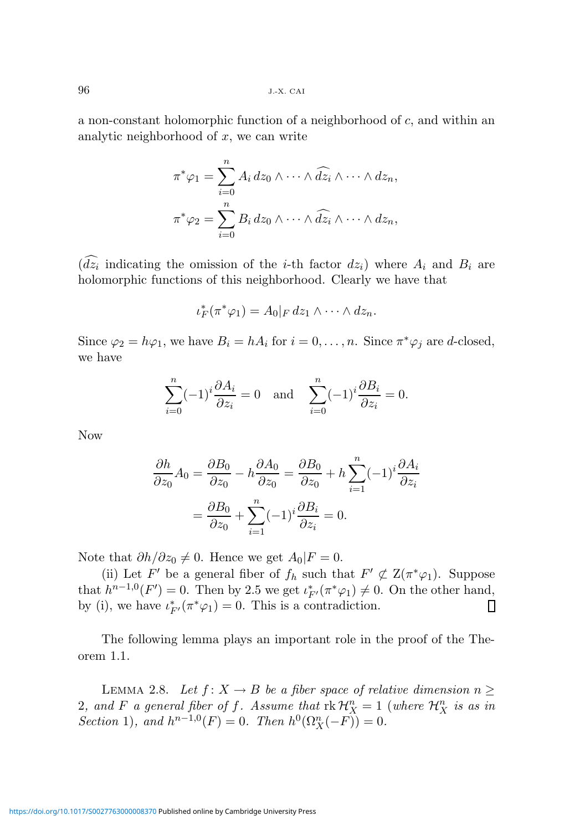a non-constant holomorphic function of a neighborhood of c, and within an analytic neighborhood of  $x$ , we can write

$$
\pi^*\varphi_1 = \sum_{i=0}^n A_i dz_0 \wedge \cdots \wedge \widehat{dz_i} \wedge \cdots \wedge dz_n,
$$
  

$$
\pi^*\varphi_2 = \sum_{i=0}^n B_i dz_0 \wedge \cdots \wedge \widehat{dz_i} \wedge \cdots \wedge dz_n,
$$

 $(dz_i)$  indicating the omission of the *i*-th factor  $dz_i$ ) where  $A_i$  and  $B_i$  are holomorphic functions of this neighborhood. Clearly we have that

$$
\iota_F^*(\pi^*\varphi_1)=A_0|_F dz_1\wedge\cdots\wedge dz_n.
$$

Since  $\varphi_2 = h\varphi_1$ , we have  $B_i = hA_i$  for  $i = 0, ..., n$ . Since  $\pi^*\varphi_j$  are *d*-closed, we have

$$
\sum_{i=0}^{n} (-1)^{i} \frac{\partial A_{i}}{\partial z_{i}} = 0 \quad \text{and} \quad \sum_{i=0}^{n} (-1)^{i} \frac{\partial B_{i}}{\partial z_{i}} = 0.
$$

Now

$$
\frac{\partial h}{\partial z_0} A_0 = \frac{\partial B_0}{\partial z_0} - h \frac{\partial A_0}{\partial z_0} = \frac{\partial B_0}{\partial z_0} + h \sum_{i=1}^n (-1)^i \frac{\partial A_i}{\partial z_i}
$$

$$
= \frac{\partial B_0}{\partial z_0} + \sum_{i=1}^n (-1)^i \frac{\partial B_i}{\partial z_i} = 0.
$$

Note that  $\partial h/\partial z_0 \neq 0$ . Hence we get  $A_0|F = 0$ .

(ii) Let F' be a general fiber of  $f_h$  such that  $F' \not\subset Z(\pi^*\varphi_1)$ . Suppose that  $h^{n-1,0}(F')=0$ . Then by 2.5 we get  $\iota_{F'}^*(\pi^*\varphi_1)\neq 0$ . On the other hand, by (i), we have  $\iota_{F'}^*(\pi^*\varphi_1) = 0$ . This is a contradiction. О

The following lemma plays an important role in the proof of the Theorem 1.1.

LEMMA 2.8. Let  $f: X \to B$  be a fiber space of relative dimension  $n \geq$ 2, and F a general fiber of f. Assume that  $rk\mathcal{H}_X^n = 1$  (where  $\mathcal{H}_X^n$  is as in Section 1), and  $h^{n-1,0}(F) = 0$ . Then  $h^0(\Omega_X^n(-F)) = 0$ .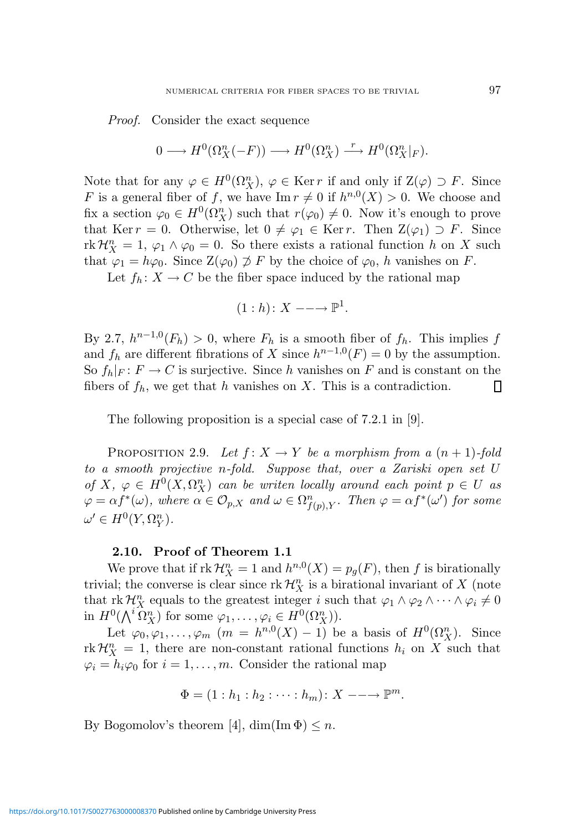Proof. Consider the exact sequence

$$
0 \longrightarrow H^0(\Omega_X^n(-F)) \longrightarrow H^0(\Omega_X^n) \stackrel{r}{\longrightarrow} H^0(\Omega_X^n|_F).
$$

Note that for any  $\varphi \in H^0(\Omega^n_X)$ ,  $\varphi \in \text{Ker } r$  if and only if  $\mathcal{Z}(\varphi) \supset F$ . Since F is a general fiber of f, we have  $\text{Im } r \neq 0$  if  $h^{n,0}(X) > 0$ . We choose and fix a section  $\varphi_0 \in H^0(\Omega_X^n)$  such that  $r(\varphi_0) \neq 0$ . Now it's enough to prove that Ker r = 0. Otherwise, let  $0 \neq \varphi_1 \in \text{Ker } r$ . Then  $\mathbb{Z}(\varphi_1) \supset F$ . Since rk  $\mathcal{H}_X^n = 1, \varphi_1 \wedge \varphi_0 = 0$ . So there exists a rational function h on X such that  $\varphi_1 = h\varphi_0$ . Since  $\mathbb{Z}(\varphi_0) \not\supset F$  by the choice of  $\varphi_0$ , h vanishes on F.

Let  $f_h: X \to C$  be the fiber space induced by the rational map

$$
(1: h): X \longrightarrow \mathbb{P}^1.
$$

By 2.7,  $h^{n-1,0}(F_h) > 0$ , where  $F_h$  is a smooth fiber of  $f_h$ . This implies f and  $f_h$  are different fibrations of X since  $h^{n-1,0}(F) = 0$  by the assumption. So  $f_h|_F: F \to C$  is surjective. Since h vanishes on F and is constant on the fibers of  $f_h$ , we get that h vanishes on X. This is a contradiction. ▯

The following proposition is a special case of 7.2.1 in [9].

PROPOSITION 2.9. Let  $f: X \to Y$  be a morphism from a  $(n + 1)$ -fold to a smooth projective n-fold. Suppose that, over a Zariski open set U of X,  $\varphi \in H^0(X, \Omega_X^n)$  can be writen locally around each point  $p \in U$  as  $\varphi = \alpha f^*(\omega)$ , where  $\alpha \in \mathcal{O}_{p,X}$  and  $\omega \in \Omega^n_{f(p),Y}$ . Then  $\varphi = \alpha f^*(\omega')$  for some  $\omega' \in H^0(Y, \Omega_Y^n)$ .

#### 2.10. Proof of Theorem 1.1

We prove that if  $rk \mathcal{H}_X^n = 1$  and  $h^{n,0}(X) = p_g(F)$ , then f is birationally trivial; the converse is clear since  $\mathrm{rk}\,\mathcal{H}_X^n$  is a birational invariant of X (note that rk  $\mathcal{H}_X^n$  equals to the greatest integer i such that  $\varphi_1 \wedge \varphi_2 \wedge \cdots \wedge \varphi_i \neq 0$ in  $H^0(\bigwedge^i \Omega_X^n)$  for some  $\varphi_1, \ldots, \varphi_i \in H^0(\Omega_X^n)$ .

Let  $\varphi_0, \varphi_1, \ldots, \varphi_m$   $(m = h^{n,0}(X) - 1)$  be a basis of  $H^0(\Omega_X^n)$ . Since  $\mathrm{rk}\,\mathcal{H}_X^n = 1$ , there are non-constant rational functions  $h_i$  on X such that  $\varphi_i = h_i \varphi_0$  for  $i = 1, \ldots, m$ . Consider the rational map

$$
\Phi = (1 : h_1 : h_2 : \cdots : h_m) : X \longrightarrow \mathbb{P}^m.
$$

By Bogomolov's theorem [4],  $\dim(\operatorname{Im} \Phi) \leq n$ .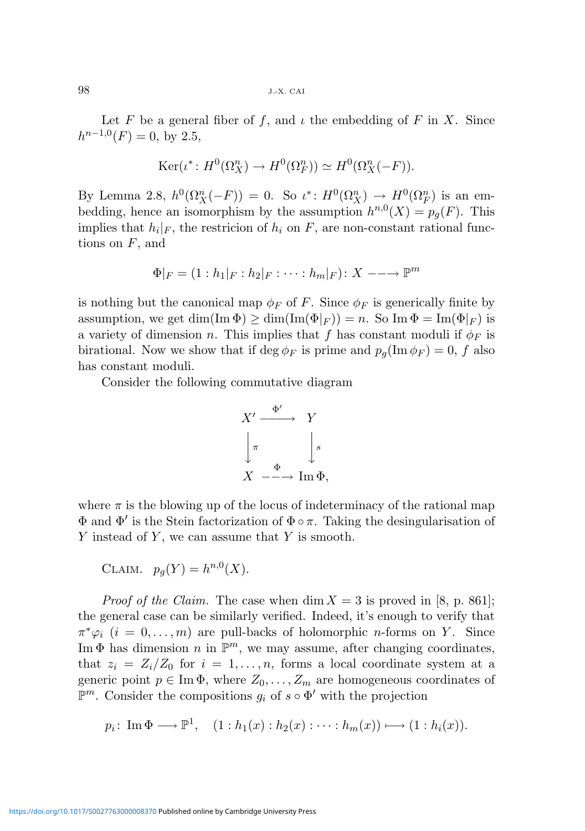98 J.-X. CAI

Let F be a general fiber of f, and  $\iota$  the embedding of F in X. Since  $h^{n-1,0}(F) = 0$ , by 2.5,

$$
Ker(\iota^* : H^0(\Omega^n_X) \to H^0(\Omega^n_F)) \simeq H^0(\Omega^n_X(-F)).
$$

By Lemma 2.8,  $h^0(\Omega_X^n(-F)) = 0$ . So  $\iota^*: H^0(\Omega_X^n) \to H^0(\Omega_F^n)$  is an embedding, hence an isomorphism by the assumption  $h^{n,0}(X) = p_g(F)$ . This implies that  $h_i|_F$ , the restricion of  $h_i$  on  $F$ , are non-constant rational functions on  $F$ , and

$$
\Phi|_F = (1 : h_1|_F : h_2|_F : \cdots : h_m|_F) : X \longrightarrow \mathbb{P}^m
$$

is nothing but the canonical map  $\phi_F$  of F. Since  $\phi_F$  is generically finite by assumption, we get dim(Im  $\Phi$ )  $\geq$  dim(Im( $\Phi|_F$ )) = n. So Im  $\Phi = \text{Im}(\Phi|_F)$  is a variety of dimension n. This implies that f has constant moduli if  $\phi_F$  is birational. Now we show that if deg  $\phi_F$  is prime and  $p_q(\text{Im }\phi_F) = 0$ , f also has constant moduli.

Consider the following commutative diagram

$$
X' \xrightarrow{\Phi'} Y
$$
  
\n
$$
\downarrow \pi \qquad \qquad \downarrow s
$$
  
\n
$$
X \xrightarrow{\Phi} \text{Im } \Phi,
$$

where  $\pi$  is the blowing up of the locus of indeterminacy of the rational map  $\Phi$  and  $\Phi'$  is the Stein factorization of  $\Phi \circ \pi$ . Taking the desingularisation of  $Y$  instead of  $Y$ , we can assume that  $Y$  is smooth.

$$
CLAIM. \t p_g(Y) = h^{n,0}(X).
$$

*Proof of the Claim.* The case when  $\dim X = 3$  is proved in [8, p. 861]; the general case can be similarly verified. Indeed, it's enough to verify that  $\pi^*\varphi_i$   $(i = 0, \ldots, m)$  are pull-backs of holomorphic *n*-forms on *Y*. Since Im  $\Phi$  has dimension n in  $\mathbb{P}^m$ , we may assume, after changing coordinates, that  $z_i = Z_i/Z_0$  for  $i = 1, ..., n$ , forms a local coordinate system at a generic point  $p \in \text{Im }\Phi$ , where  $Z_0, \ldots, Z_m$  are homogeneous coordinates of  $\mathbb{P}^m$ . Consider the compositions  $g_i$  of  $s \circ \Phi'$  with the projection

$$
p_i\colon \operatorname{Im} \Phi \longrightarrow \mathbb{P}^1, \quad (1:h_1(x): h_2(x): \dots : h_m(x)) \longmapsto (1:h_i(x)).
$$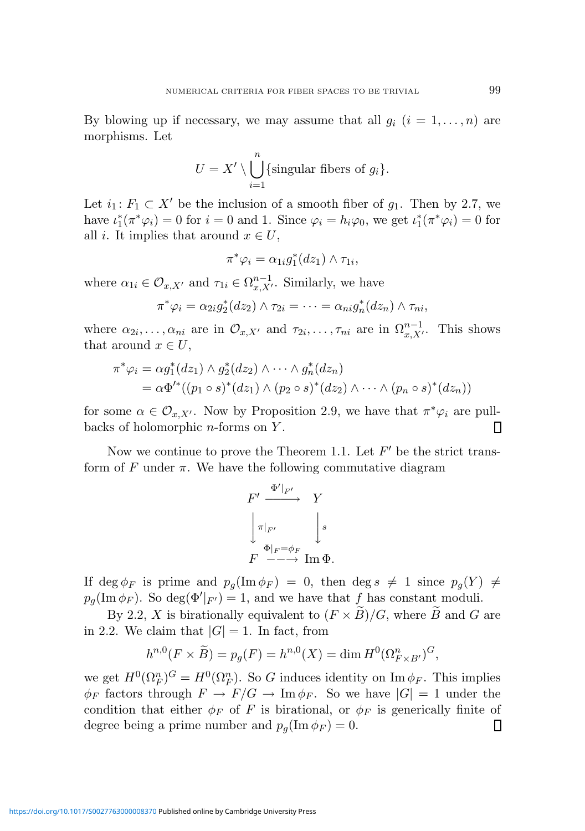By blowing up if necessary, we may assume that all  $g_i$   $(i = 1, \ldots, n)$  are morphisms. Let

$$
U = X' \setminus \bigcup_{i=1}^{n} \{\text{singular fibers of } g_i\}.
$$

Let  $i_1: F_1 \subset X'$  be the inclusion of a smooth fiber of  $g_1$ . Then by 2.7, we have  $\iota_1^*(\pi^*\varphi_i) = 0$  for  $i = 0$  and 1. Since  $\varphi_i = h_i\varphi_0$ , we get  $\iota_1^*(\pi^*\varphi_i) = 0$  for all *i*. It implies that around  $x \in U$ ,

$$
\pi^*\varphi_i = \alpha_{1i}g_1^*(dz_1) \wedge \tau_{1i},
$$

where  $\alpha_{1i} \in \mathcal{O}_{x,X'}$  and  $\tau_{1i} \in \Omega_{x,X'}^{n-1}$ . Similarly, we have

$$
\pi^*\varphi_i = \alpha_{2i}g_2^*(dz_2) \wedge \tau_{2i} = \cdots = \alpha_{ni}g_n^*(dz_n) \wedge \tau_{ni},
$$

where  $\alpha_{2i}, \ldots, \alpha_{ni}$  are in  $\mathcal{O}_{x,X'}$  and  $\tau_{2i}, \ldots, \tau_{ni}$  are in  $\Omega_{x,X'}^{n-1}$ . This shows that around  $x \in U$ ,

$$
\pi^*\varphi_i = \alpha g_1^*(dz_1) \wedge g_2^*(dz_2) \wedge \cdots \wedge g_n^*(dz_n)
$$
  
=  $\alpha \Phi'^*((p_1 \circ s)^*(dz_1) \wedge (p_2 \circ s)^*(dz_2) \wedge \cdots \wedge (p_n \circ s)^*(dz_n))$ 

for some  $\alpha \in \mathcal{O}_{x,X'}$ . Now by Proposition 2.9, we have that  $\pi^*\varphi_i$  are pullbacks of holomorphic  $n$ -forms on  $Y$ . П

Now we continue to prove the Theorem 1.1. Let  $F'$  be the strict transform of F under  $\pi$ . We have the following commutative diagram

$$
\begin{array}{ccc}\nF' & \xrightarrow{\Phi'|_{F'}} & Y \\
\Big\downarrow\pi\vert_{F'} & & \Big\downarrow s \\
F & \xrightarrow{\Phi\vert_{F}=\phi_{F}} & \operatorname{Im}\Phi.\n\end{array}
$$

If deg  $\phi_F$  is prime and  $p_q(\text{Im }\phi_F) = 0$ , then deg  $s \neq 1$  since  $p_q(Y) \neq 0$  $p_g(\text{Im }\phi_F)$ . So deg( $\Phi'|_{F'}$ ) = 1, and we have that f has constant moduli.

By 2.2, X is birationally equivalent to  $(F \times \widetilde{B})/G$ , where  $\widetilde{B}$  and G are in 2.2. We claim that  $|G| = 1$ . In fact, from

$$
h^{n,0}(F \times \widetilde{B}) = p_g(F) = h^{n,0}(X) = \dim H^0(\Omega^n_{F \times B'})^G,
$$

we get  $H^0(\Omega_F^n)^G = H^0(\Omega_F^n)$ . So G induces identity on Im  $\phi_F$ . This implies  $\phi_F$  factors through  $F \to F/G \to \text{Im}\phi_F$ . So we have  $|G|=1$  under the condition that either  $\phi_F$  of F is birational, or  $\phi_F$  is generically finite of degree being a prime number and  $p_g(\text{Im }\phi_F) = 0$ .  $\Box$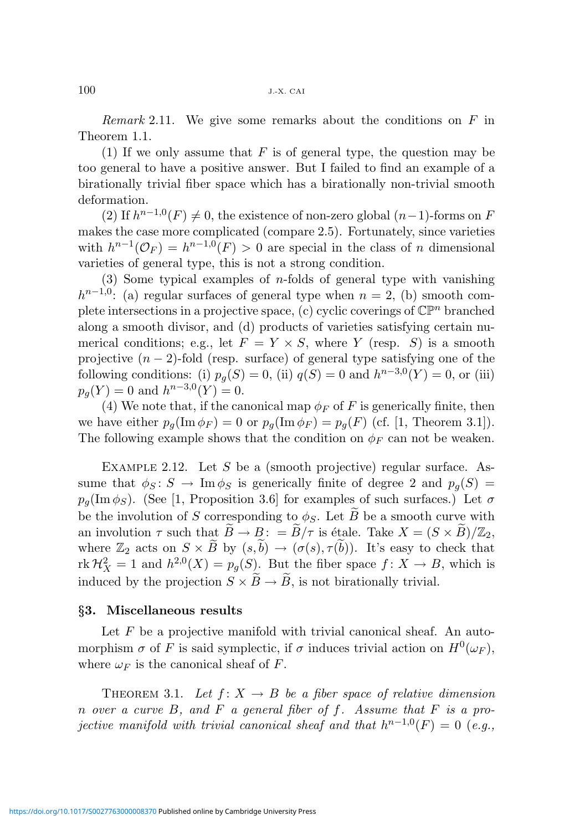*Remark* 2.11. We give some remarks about the conditions on  $F$  in Theorem 1.1.

(1) If we only assume that  $F$  is of general type, the question may be too general to have a positive answer. But I failed to find an example of a birationally trivial fiber space which has a birationally non-trivial smooth deformation.

(2) If  $h^{n-1,0}(F) \neq 0$ , the existence of non-zero global  $(n-1)$ -forms on F makes the case more complicated (compare 2.5). Fortunately, since varieties with  $h^{n-1}(\mathcal{O}_F) = h^{n-1,0}(F) > 0$  are special in the class of n dimensional varieties of general type, this is not a strong condition.

(3) Some typical examples of *n*-folds of general type with vanishing  $h^{n-1,0}$ : (a) regular surfaces of general type when  $n = 2$ , (b) smooth complete intersections in a projective space, (c) cyclic coverings of  $\mathbb{CP}^n$  branched along a smooth divisor, and (d) products of varieties satisfying certain numerical conditions; e.g., let  $F = Y \times S$ , where Y (resp. S) is a smooth projective  $(n-2)$ -fold (resp. surface) of general type satisfying one of the following conditions: (i)  $p_g(S) = 0$ , (ii)  $q(S) = 0$  and  $h^{n-3,0}(Y) = 0$ , or (iii)  $p_g(Y) = 0$  and  $h^{n-3,0}(Y) = 0$ .

(4) We note that, if the canonical map  $\phi_F$  of F is generically finite, then we have either  $p_q(\text{Im }\phi_F) = 0$  or  $p_q(\text{Im }\phi_F) = p_q(F)$  (cf. [1, Theorem 3.1]). The following example shows that the condition on  $\phi_F$  can not be weaken.

EXAMPLE 2.12. Let S be a (smooth projective) regular surface. Assume that  $\phi_S : S \to \text{Im } \phi_S$  is generically finite of degree 2 and  $p_q(S) =$  $p_q(\text{Im }\phi_S)$ . (See [1, Proposition 3.6] for examples of such surfaces.) Let  $\sigma$ be the involution of S corresponding to  $\phi_S$ . Let  $\widetilde{B}$  be a smooth curve with an involution  $\tau$  such that  $\widetilde{B} \to B$ : =  $\widetilde{B}/\tau$  is étale. Take  $X = (S \times \widetilde{B})/\mathbb{Z}_2$ , where  $\mathbb{Z}_2$  acts on  $S \times \widetilde{B}$  by  $(s,\widetilde{b}) \to (\sigma(s), \tau(\widetilde{b}))$ . It's easy to check that  $\text{rk } \mathcal{H}_X^2 = 1$  and  $h^{2,0}(X) = p_g(S)$ . But the fiber space  $f: X \to B$ , which is induced by the projection  $S \times \widetilde{B} \to \widetilde{B}$ , is not birationally trivial.

#### §3. Miscellaneous results

Let  $F$  be a projective manifold with trivial canonical sheaf. An automorphism  $\sigma$  of F is said symplectic, if  $\sigma$  induces trivial action on  $H^0(\omega_F)$ , where  $\omega_F$  is the canonical sheaf of F.

THEOREM 3.1. Let  $f: X \to B$  be a fiber space of relative dimension n over a curve B, and F a general fiber of f. Assume that  $F$  is a projective manifold with trivial canonical sheaf and that  $h^{n-1,0}(F) = 0$  (e.g.,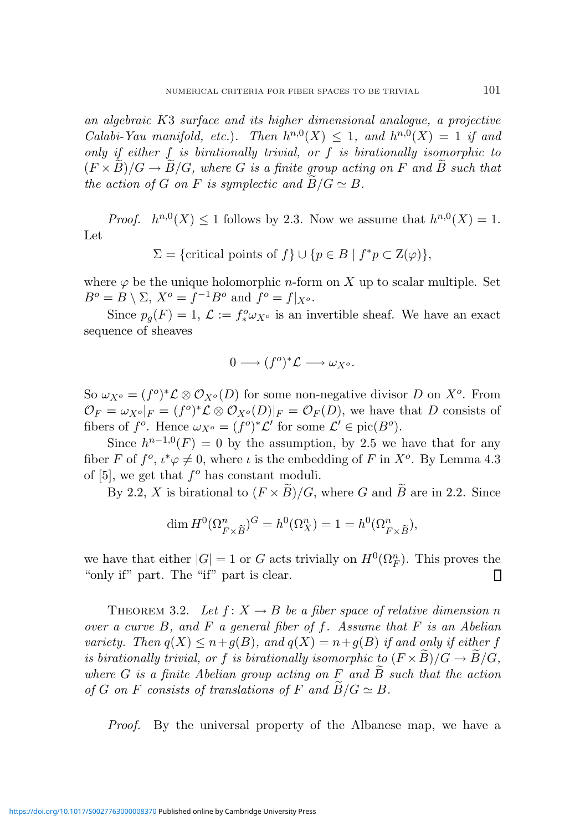an algebraic K3 surface and its higher dimensional analogue, a projective Calabi-Yau manifold, etc.). Then  $h^{n,0}(X) \leq 1$ , and  $h^{n,0}(X) = 1$  if and only if either f is birationally trivial, or f is birationally isomorphic to  $(F \times B)/G \rightarrow B/G$ , where G is a finite group acting on F and B such that the action of G on F is symplectic and  $B/G \simeq B$ .

*Proof.*  $h^{n,0}(X) \leq 1$  follows by 2.3. Now we assume that  $h^{n,0}(X) = 1$ . Let

$$
\Sigma = \{ \text{critical points of } f \} \cup \{ p \in B \mid f^*p \subset \mathcal{Z}(\varphi) \},
$$

where  $\varphi$  be the unique holomorphic *n*-form on X up to scalar multiple. Set  $B^o = B \setminus \Sigma$ ,  $X^o = f^{-1}B^o$  and  $f^o = f|_{X^o}$ .

Since  $p_g(F) = 1, \mathcal{L} := f^o_* \omega_{X^o}$  is an invertible sheaf. We have an exact sequence of sheaves

$$
0 \longrightarrow (f^o)^* \mathcal{L} \longrightarrow \omega_{X^o}.
$$

So  $\omega_{X^o} = (f^o)^* \mathcal{L} \otimes \mathcal{O}_{X^o}(D)$  for some non-negative divisor D on  $X^o$ . From  $\mathcal{O}_F = \omega_{X^o}|_F = (f^o)^*\mathcal{L} \otimes \mathcal{O}_{X^o}(D)|_F = \mathcal{O}_F(D)$ , we have that D consists of fibers of  $f^o$ . Hence  $\omega_{X^o} = (f^o)^* \mathcal{L}'$  for some  $\mathcal{L}' \in \text{pic}(B^o)$ .

Since  $h^{n-1,0}(F) = 0$  by the assumption, by 2.5 we have that for any fiber F of  $f^o$ ,  $\iota^*\varphi \neq 0$ , where  $\iota$  is the embedding of F in  $X^o$ . By Lemma 4.3 of  $[5]$ , we get that  $f^o$  has constant moduli.

By 2.2, X is birational to  $(F \times \widetilde{B})/G$ , where G and  $\widetilde{B}$  are in 2.2. Since

$$
\dim H^0(\Omega^n_{F \times \tilde{B}})^G = h^0(\Omega^n_X) = 1 = h^0(\Omega^n_{F \times \tilde{B}}),
$$

we have that either  $|G| = 1$  or G acts trivially on  $H^0(\Omega_F^n)$ . This proves the "only if" part. The "if" part is clear. ▯

THEOREM 3.2. Let  $f: X \to B$  be a fiber space of relative dimension n over a curve  $B$ , and  $F$  a general fiber of  $f$ . Assume that  $F$  is an Abelian variety. Then  $q(X) \leq n+q(B)$ , and  $q(X) = n+q(B)$  if and only if either f is birationally trivial, or f is birationally isomorphic to  $(F \times B)/G \rightarrow B/G$ , where G is a finite Abelian group acting on F and  $\tilde{B}$  such that the action of G on F consists of translations of F and  $\widetilde{B}/G \simeq B$ .

Proof. By the universal property of the Albanese map, we have a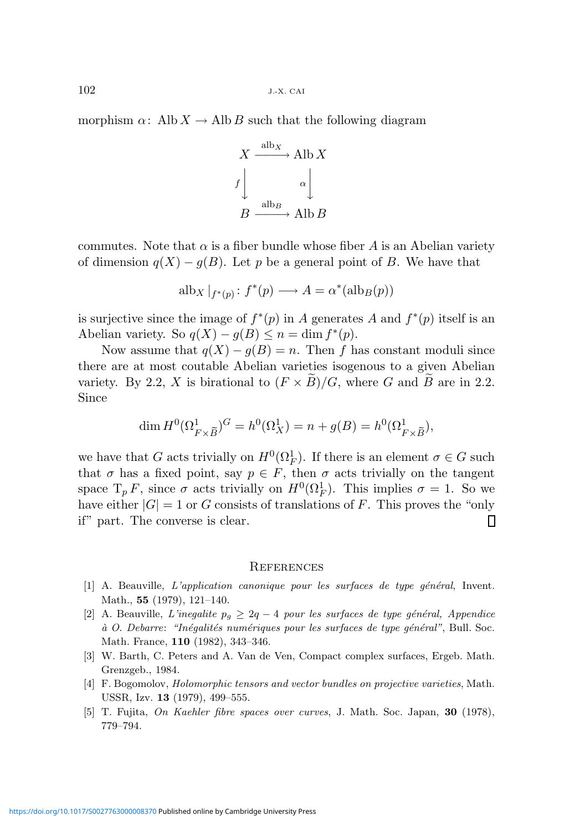morphism  $\alpha$ : Alb  $X \to$  Alb B such that the following diagram

$$
X \xrightarrow{\text{alb}_X} \text{Alb } X
$$
  

$$
f \downarrow \qquad \alpha \downarrow
$$
  

$$
B \xrightarrow{\text{alb}_B} \text{Alb } B
$$

commutes. Note that  $\alpha$  is a fiber bundle whose fiber A is an Abelian variety of dimension  $q(X) - q(B)$ . Let p be a general point of B. We have that

$$
alb_X|_{f^*(p)}: f^*(p) \longrightarrow A = \alpha^*(alb_B(p))
$$

is surjective since the image of  $f^*(p)$  in A generates A and  $f^*(p)$  itself is an Abelian variety. So  $q(X) - g(B) \leq n = \dim f^*(p)$ .

Now assume that  $q(X) - q(B) = n$ . Then f has constant moduli since there are at most coutable Abelian varieties isogenous to a given Abelian variety. By 2.2, X is birational to  $(F \times \widetilde{B})/G$ , where G and  $\widetilde{B}$  are in 2.2. Since

$$
\dim H^0(\Omega^1_{F \times \tilde{B}})^G = h^0(\Omega^1_X) = n + g(B) = h^0(\Omega^1_{F \times \tilde{B}}),
$$

we have that G acts trivially on  $H^0(\Omega_F^1)$ . If there is an element  $\sigma \in G$  such that  $\sigma$  has a fixed point, say  $p \in F$ , then  $\sigma$  acts trivially on the tangent space  $T_p F$ , since  $\sigma$  acts trivially on  $H^0(\Omega_F^1)$ . This implies  $\sigma = 1$ . So we have either  $|G| = 1$  or G consists of translations of F. This proves the "only" if" part. The converse is clear. П

#### **REFERENCES**

- $[1]$  A. Beauville, L'application canonique pour les surfaces de type général, Invent. Math., 55 (1979), 121–140.
- [2] A. Beauville, L'inegalite  $p_g \geq 2q 4$  pour les surfaces de type général, Appendice à O. Debarre: "Inégalités numériques pour les surfaces de type général", Bull. Soc. Math. France, 110 (1982), 343–346.
- [3] W. Barth, C. Peters and A. Van de Ven, Compact complex surfaces, Ergeb. Math. Grenzgeb., 1984.
- [4] F. Bogomolov, Holomorphic tensors and vector bundles on projective varieties, Math. USSR, Izv. 13 (1979), 499–555.
- [5] T. Fujita, On Kaehler fibre spaces over curves, J. Math. Soc. Japan, 30 (1978), 779–794.